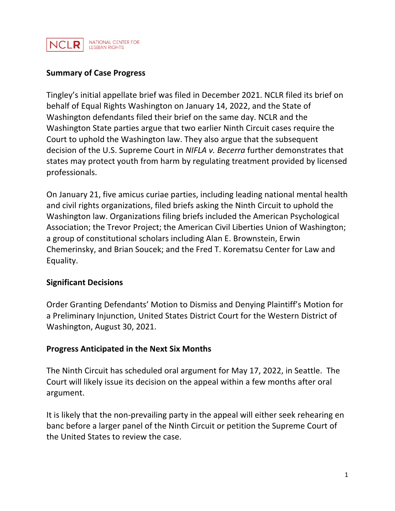

## **Summary of Case Progress**

Tingley's initial appellate brief was filed in December 2021. NCLR filed its brief on behalf of Equal Rights Washington on January 14, 2022, and the State of Washington defendants filed their brief on the same day. NCLR and the Washington State parties argue that two earlier Ninth Circuit cases require the Court to uphold the Washington law. They also argue that the subsequent decision of the U.S. Supreme Court in *NIFLA v. Becerra* further demonstrates that states may protect youth from harm by regulating treatment provided by licensed professionals.

On January 21, five amicus curiae parties, including leading national mental health and civil rights organizations, filed briefs asking the Ninth Circuit to uphold the Washington law. Organizations filing briefs included the American Psychological Association; the Trevor Project; the American Civil Liberties Union of Washington; a group of constitutional scholars including Alan E. Brownstein, Erwin Chemerinsky, and Brian Soucek; and the Fred T. Korematsu Center for Law and Equality.

#### **Significant Decisions**

Order Granting Defendants' Motion to Dismiss and Denying Plaintiff's Motion for a Preliminary Injunction, United States District Court for the Western District of Washington, August 30, 2021.

#### **Progress Anticipated in the Next Six Months**

The Ninth Circuit has scheduled oral argument for May 17, 2022, in Seattle. The Court will likely issue its decision on the appeal within a few months after oral argument.

It is likely that the non-prevailing party in the appeal will either seek rehearing en banc before a larger panel of the Ninth Circuit or petition the Supreme Court of the United States to review the case.